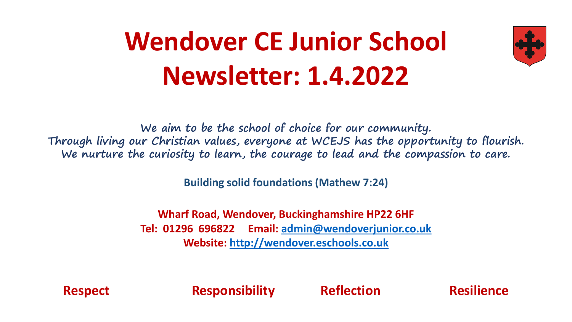# **Wendover CE Junior School Newsletter: 1.4.2022**



**We aim to be the school of choice for our community. Through living our Christian values, everyone at WCEJS has the opportunity to flourish. We nurture the curiosity to learn, the courage to lead and the compassion to care.**

**Building solid foundations (Mathew 7:24)** 

**Wharf Road, Wendover, Buckinghamshire HP22 6HF Tel: 01296 696822 Email: [admin@wendoverjunior.co.uk](mailto:admin@wendoverjunior.co.uk) Website: [http://wendover.eschools.co.uk](http://wendover.eschools.co.uk/)**

**Respect Responsibility Reflection Resilience**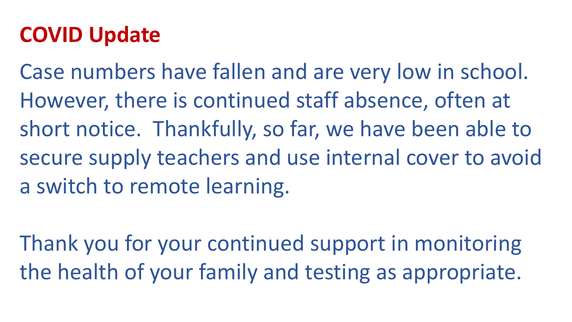#### **COVID Update**

Case numbers have fallen and are very low in school. However, there is continued staff absence, often at short notice. Thankfully, so far, we have been able to secure supply teachers and use internal cover to avoid a switch to remote learning.

Thank you for your continued support in monitoring the health of your family and testing as appropriate.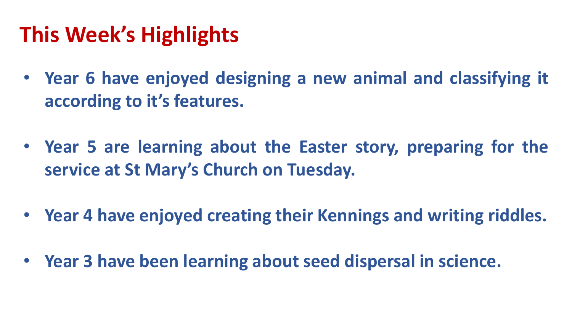### **This Week's Highlights**

- **Year 6 have enjoyed designing a new animal and classifying it according to it's features.**
- **Year 5 are learning about the Easter story, preparing for the service at St Mary's Church on Tuesday.**
- **Year 4 have enjoyed creating their Kennings and writing riddles.**
- **Year 3 have been learning about seed dispersal in science.**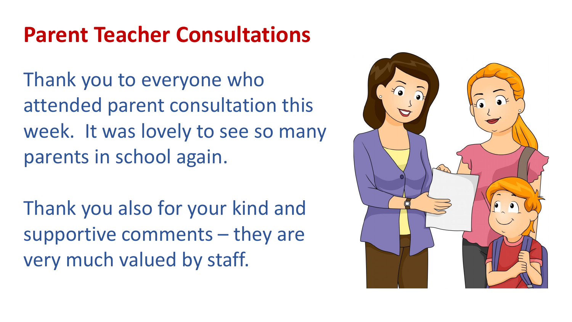### **Parent Teacher Consultations**

Thank you to everyone who attended parent consultation this week. It was lovely to see so many parents in school again.

Thank you also for your kind and supportive comments – they are very much valued by staff.

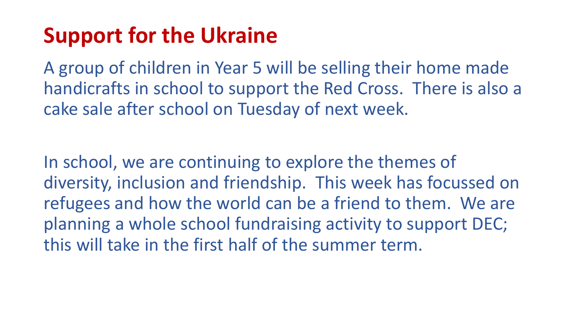### **Support for the Ukraine**

A group of children in Year 5 will be selling their home made handicrafts in school to support the Red Cross. There is also a cake sale after school on Tuesday of next week.

In school, we are continuing to explore the themes of diversity, inclusion and friendship. This week has focussed on refugees and how the world can be a friend to them. We are planning a whole school fundraising activity to support DEC; this will take in the first half of the summer term.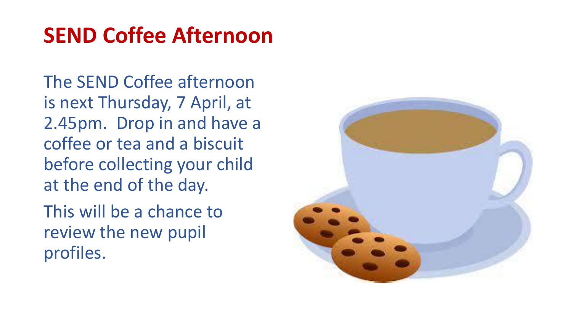#### **SEND Coffee Afternoon**

The SEND Coffee afternoon is next Thursday, 7 April, at 2.45pm. Drop in and have a coffee or tea and a biscuit before collecting your child at the end of the day.

This will be a chance to review the new pupil profiles.

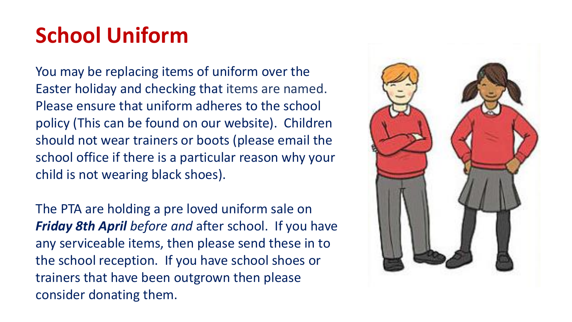## **School Uniform**

You may be replacing items of uniform over the Easter holiday and checking that items are named. Please ensure that uniform adheres to the school policy (This can be found on our website). Children should not wear trainers or boots (please email the school office if there is a particular reason why your child is not wearing black shoes).

The PTA are holding a pre loved uniform sale on *Friday 8th April before and* after school. If you have any serviceable items, then please send these in to the school reception. If you have school shoes or trainers that have been outgrown then please consider donating them.

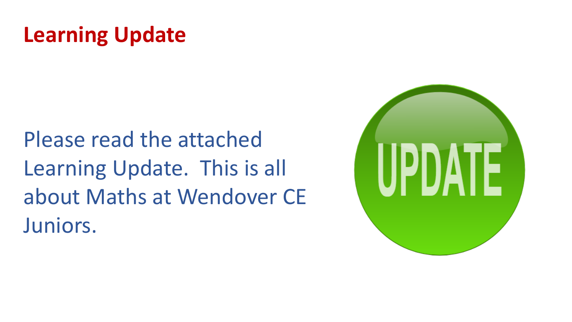### **Learning Update**

Please read the attached Learning Update. This is all about Maths at Wendover CE Juniors.

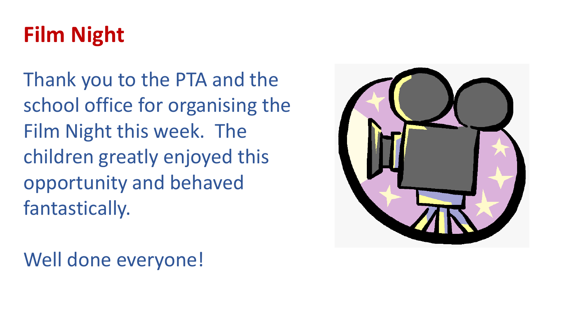## **Film Night**

Thank you to the PTA and the school office for organising the Film Night this week. The children greatly enjoyed this opportunity and behaved fantastically.

Well done everyone!

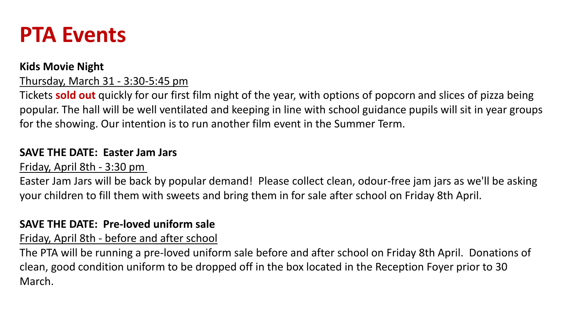#### **PTA Events**

#### **Kids Movie Night**

Thursday, March 31 - 3:30-5:45 pm

Tickets **sold out** quickly for our first film night of the year, with options of popcorn and slices of pizza being popular. The hall will be well ventilated and keeping in line with school guidance pupils will sit in year groups for the showing. Our intention is to run another film event in the Summer Term.

#### **SAVE THE DATE: Easter Jam Jars**

Friday, April 8th - 3:30 pm

Easter Jam Jars will be back by popular demand! Please collect clean, odour-free jam jars as we'll be asking your children to fill them with sweets and bring them in for sale after school on Friday 8th April.

#### **SAVE THE DATE: Pre-loved uniform sale**

Friday, April 8th - before and after school

The PTA will be running a pre-loved uniform sale before and after school on Friday 8th April. Donations of clean, good condition uniform to be dropped off in the box located in the Reception Foyer prior to 30 March.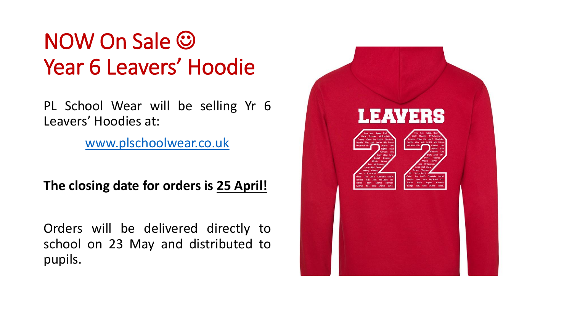### NOW On Sale **☺** Year 6 Leavers' Hoodie

PL School Wear will be selling Yr 6 Leavers' Hoodies at:

[www.plschoolwear.co.uk](http://www.plschoolwear.co.uk/)

**The closing date for orders is 25 April!**

Orders will be delivered directly to school on 23 May and distributed to pupils.

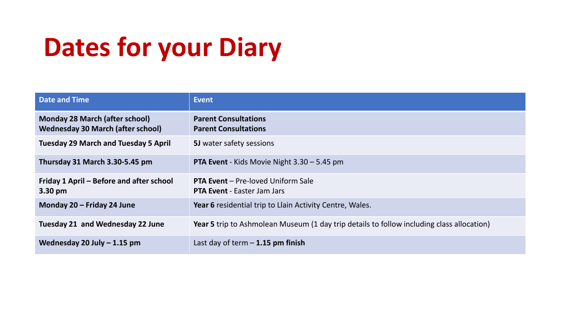# **Dates for your Diary**

| <b>Date and Time</b>                                                              | Event                                                                                            |
|-----------------------------------------------------------------------------------|--------------------------------------------------------------------------------------------------|
| <b>Monday 28 March (after school)</b><br><b>Wednesday 30 March (after school)</b> | <b>Parent Consultations</b><br><b>Parent Consultations</b>                                       |
| <b>Tuesday 29 March and Tuesday 5 April</b>                                       | <b>5J</b> water safety sessions                                                                  |
| Thursday 31 March 3.30-5.45 pm                                                    | <b>PTA Event</b> - Kids Movie Night $3.30 - 5.45$ pm                                             |
| Friday 1 April – Before and after school<br>3.30 pm                               | <b>PTA Event</b> - Pre-loved Uniform Sale<br><b>PTA Event - Easter Jam Jars</b>                  |
| Monday 20 – Friday 24 June                                                        | Year 6 residential trip to Llain Activity Centre, Wales.                                         |
| Tuesday 21 and Wednesday 22 June                                                  | <b>Year 5</b> trip to Ashmolean Museum (1 day trip details to follow including class allocation) |
| Wednesday 20 July $-1.15$ pm                                                      | Last day of term $-1.15$ pm finish                                                               |